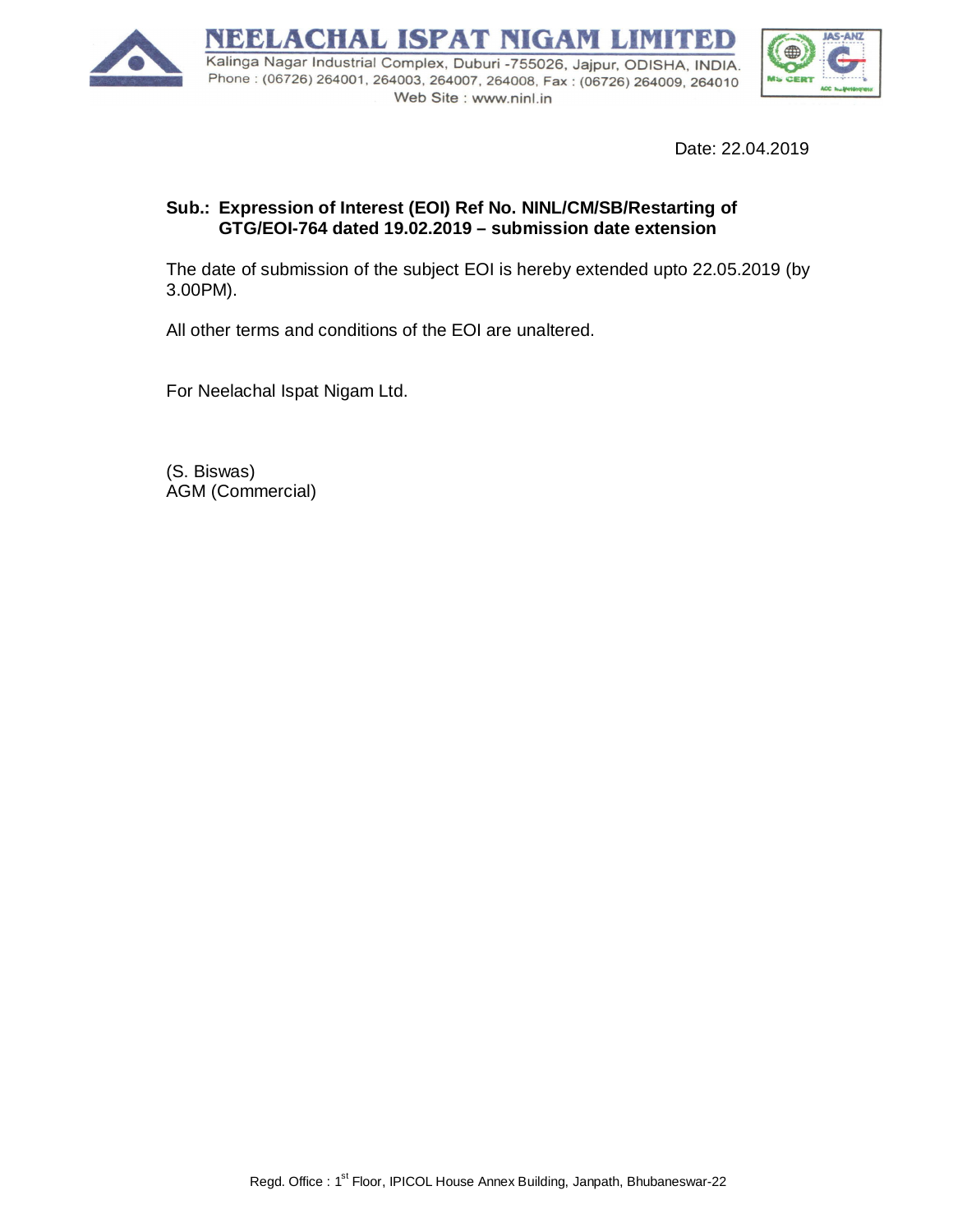

Date: 22.04.2019

## **Sub.: Expression of Interest (EOI) Ref No. NINL/CM/SB/Restarting of GTG/EOI-764 dated 19.02.2019 – submission date extension**

The date of submission of the subject EOI is hereby extended upto 22.05.2019 (by 3.00PM).

All other terms and conditions of the EOI are unaltered.

For Neelachal Ispat Nigam Ltd.

(S. Biswas) AGM (Commercial)